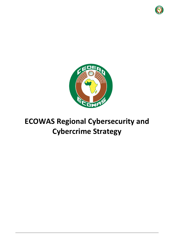



# **ECOWAS Regional Cybersecurity and Cybercrime Strategy**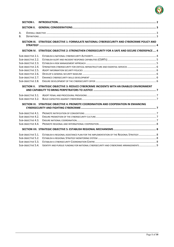

| <b>SECTION I.</b>  |                                                                                                |  |
|--------------------|------------------------------------------------------------------------------------------------|--|
| <b>SECTION II.</b> |                                                                                                |  |
| А.                 |                                                                                                |  |
| B.                 |                                                                                                |  |
|                    | SECTION III. STRATEGIC OBJECTIVE 1: FORMULATE NATIONAL CYBERSECURITY AND CYBERCRIME POLICY AND |  |
|                    |                                                                                                |  |
|                    | SECTION IV. STRATEGIC OBJECTIVE 2: STRENGTHEN CYBERSECURITY FOR A SAFE AND SECURE CYBERSPACE 4 |  |
| SUB-OBJECTIVE 2.1. |                                                                                                |  |
| SUB-OBJECTIVE 2.2. |                                                                                                |  |
| SUB-OBJECTIVE 2.3. |                                                                                                |  |
| SUB-OBJECTIVE 2.4. |                                                                                                |  |
| SUB-OBJECTIVE 2.5. |                                                                                                |  |
| SUB-OBJECTIVE 2.6. |                                                                                                |  |
| SUB-OBJECTIVE 2.7. |                                                                                                |  |
| SUB-OBJECTIVE 2.8. |                                                                                                |  |
|                    | SECTION V. STRATEGIC OBJECTIVE 3: REDUCE CYBERCRIME INCIDENTS WITH AN ENABLED ENVIRONMENT      |  |
|                    |                                                                                                |  |
| SUB-OBJECTIVE 3.1. |                                                                                                |  |
| SUB-OBJECTIVE 3.2. |                                                                                                |  |
|                    | SECTION VI. STRATEGIC OBJECTIVE 4: PROMOTE COORDINATION AND COOPERATION IN ENHANCING           |  |
|                    |                                                                                                |  |
| SUB-OBJECTIVE 4.1. |                                                                                                |  |
| SUB-OBJECTIVE 4.2. |                                                                                                |  |
| SUB-OBJECTIVE 4.3. |                                                                                                |  |
| SUB-OBJECTIVE 4.4. |                                                                                                |  |
|                    |                                                                                                |  |
| SUB-OBJECTIVE 5.1. | ESTABLISH A REGIONAL ASSISTANCE PLAN FOR THE IMPLEMENTATION OF THE REGIONAL STRATEGY 8         |  |
| SUB-OBJECTIVE 5.2. |                                                                                                |  |
| SUB-OBJECTIVE 5.3. |                                                                                                |  |
| SUB-OBJECTIVE 5.4. | IDENTIFY AND PURSUE FUNDING FOR NATIONAL CYBERSECURITY AND CYBERCRIME ARRANGEMENTS 9           |  |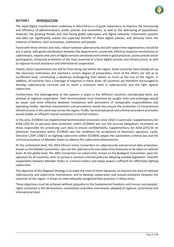

# <span id="page-2-0"></span>**SECTION I. INTRODUCTION**

The rapid digital transformation underway in West Africa is of great importance to improve the functioning and efficiency of administrations, public policies and economies, as well as the well-being of populations. However, the growing threats and risks facing global cyberspace and digital networks, information systems and data can significantly reduce the expected benefits of these digital policies, and seriously harm the interests of Nations, their economies, institutions and people.

Faced with these threats and risks, robust national cybersecurity and anti-cybercrime organisations should be put in place, with good coordination between the departments concerned, effective response mechanisms to cyberattacks, experts and users of digital services sensitized and trained in good practices, active private sector participation, enhanced protection of the most essential or critical digital services and infrastructure, as well as regional mutual assistance and international cooperation.

Clearly, these requirements are still far from being met within the region. Some countries have already set up the necessary institutions and reached a certain degree of preparation, most of the others are still at an insufficient level, constituting a weakness endangering their Nation as much as the rest of the region. In addition, all countries face a shortage of expertise in these areas. All countries are therefore encouraged to develop cybersecurity curricula and to reach a minimum level in cybersecurity and the fight against cybercrime.

Furthermore, the heterogeneity of the systems in place in the different countries considerably limits any attempt at regional cooperation. Their harmonization must therefore be sought: links and exchanges would be easier and more effective between institutions with perimeters of comparable responsibilities and operating modes; identical requirements and procedures would also ensure the protection of transnational infrastructuresin the same way across the region; finally, harmonized penal and criminal procedure provisions would enable an efficient mutual assistance in criminal matters.

In this area, ECOWAS has implemented harmonization provisions since 2010: in particular, Supplementary Act A/SA.1/01/10 on personal data protection within ECOWAS sets out the security obligations incumbent on those responsible for processing such data to ensure confidentiality; Supplementary Act A/SA.2/01/10 on electronic transactions within ECOWAS sets the conditions for acceptance of electronic signature; Lastly, Directive C/DIR 1/08/11 on fighting cybercrime within ECOWAS adapts the substantive criminal law and the criminal procedure of Member States to address the cybercrime phenomenon.

At the continental level, the 2014 African Union Convention on cybersecurity and personal data protection, known as the Malabo Convention, sets out the cybersecurity and cybercrime measures to be taken at national level. At the global level, the 2001 Convention on Cybercrime, known as the Budapest Convention, open for signature by all countries, aims to pursue a common criminal policy by adopting suitable legislation, intensify cooperation between Member States in criminal matters and adopt powers sufficient for effectively fighting cybercrime.

The objective of this Regional Strategy is to make the most of these advances, to improve the level of national cybersecurity and cybercrime mechanisms, and to develop cooperation and mutual assistance between the countries of the region. It draws on internationally recognized best practices in these areas.

These objectives must be achieved without prejudice to the fundamental freedoms and human and peoples' rights contained in the declarations, conventions and other instruments adopted at regional, continental and international level.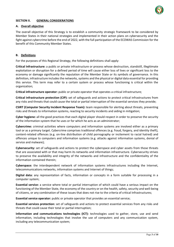

## <span id="page-3-0"></span>**SECTION II. GENERAL CONSIDERATIONS**

## <span id="page-3-1"></span>**A. Overall objective**

The overall objective of this Strategy is to establish a community strategic framework to be considered by Member States in their national strategies and implemented in their action plans on cybersecurity and the fight against cybercrime before the end of 2022, with the full participation of the ECOWAS Commission for the benefit of this Community Member States.

## <span id="page-3-2"></span>**B. Definitions**

For the purposes of this Regional Strategy, the following definitions shall apply:

**Critical Infrastructure:** a public or private infrastructure or process whose destruction, standstill, illegitimate exploitation or disruption for a defined period of time will cause either loss of lives or significant loss to the economy or damage significantly the reputation of the Member State or its symbols of governance. In this definition, infrastructure includes the networks, systems and the physical or digital data essential for providing this service. This term may refer to a certain system or process whose functioning is critical within the organization;

**Critical infrastructure operator:** public or private operator that operates a critical infrastructure;

**Critical infrastructure protection (CIP):** set of safeguards and actions to protect critical infrastructures from any risks and threats that could cause the total or partial interruption of the essential services they provide;

**CSIRT (Computer Security Incident Response Team):** team responsible for alerting about threats, preventing risks and threats to information systems, reacting to security incidents and aiding in mitigation;

**Cyber hygiene:** all the good practices that each digital player should respect in order to preserve the security of the information system that he uses or for which he acts as an administrator;

**Cybercrime:** criminal activities where computers and information systems are involved either as a primary tool or as a primary target. Cybercrime comprises traditional offences (e.g. fraud, forgery, and identity theft), content-related offences (e.g. on-line distribution of child pornography or incitement to racial hatred) and offences unique to computers and information systems (e.g. attacks against information systems, denial of service and malware);

**Cybersecurity:** set of safeguards and actions to protect the cyberspace and cyber assets from those threats that are associated with or that may harm its networks and information infrastructure. Cybersecurity strives to preserve the availability and integrity of the networks and infrastructure and the confidentiality of the information contained therein;

**Cyberspace:** the interdependent network of information systems infrastructures including the Internet, telecommunications networks, information systems and Internet of things;

**Digital data:** any representation of facts, information or concepts in a form suitable for processing in a computer system;

**Essential service:** a service where total or partial interruption of which could have a serious impact on the functioning of the Member State, the economy of the country or on the health, safety, security and well-being of citizens, or any combination of these issues that does not rise to the criteria of critical Infrastructures;

**Essential service operator:** public or private operator that provides an essential service;

**Essential services protection:** set of safeguards and actions to protect essential services from any risks and threats that could cause their total or partial interruption;

**Information and communications technologies (ICT):** technologies used to gather, store, use and send information, including technologies that involve the use of computers and any communication system, including any telecommunication system;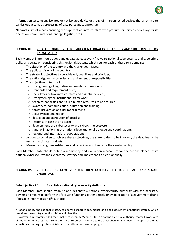

**Information system:** any isolated or not isolated device or group of interconnected devices that all or in part carries out automatic processing of data pursuant to a program;

**Networks:** set of means ensuring the supply of an infrastructure with products or services necessary for its operation (communications, energy, logistics, etc.).

# <span id="page-4-0"></span>**SECTION III. STRATEGIC OBJECTIVE 1: FORMULATE NATIONAL CYBERSECURITY AND CYBERCRIME POLICY AND STRATEGY**

Each Member State should adopt and update at least every five years national cybersecurity and cybercrime policy and strategy<sup>1</sup>, considering this Regional Strategy, which sets for each of these two domains:

- The situation of the country and the challenges it faces;
- The political vision of the country;
- The strategic objectives to be achieved, deadlines and priorities;
- The national governance, roles and assignment of responsibilities;
- The objectives in terms of:
	- o strengthening of legislative and regulatory provisions;
	- o standards and requirement rules;
	- o security for critical infrastructure and essential services;
	- o strengthening the institutional framework;
	- o technical capacities and skilled human resources to be acquired;
	- o awareness, communication, education and training;
	- o threat prevention and risk management;
	- o security incidents report;
	- o detection and attribution of attacks;
	- o response in case of an attack;
	- o development of a cybersecurity and cybercrime ecosystem;
	- o synergy in actions at the national level (national dialogue and coordination);
	- o regional and international cooperation;
- Actions to be taken to achieve these objectives, the stakeholders to be involved, the deadlines to be met and estimated budgets;
- Means to strengthen institutions and capacities and to ensure their sustainability.

Each Member State should define a monitoring and evaluation mechanism for the actions planed by its national cybersecurity and cybercrime strategy and implement it at least annually.

# <span id="page-4-1"></span>**SECTION IV. STRATEGIC OBJECTIVE 2: STRENGTHEN CYBERSECURITY FOR A SAFE AND SECURE CYBERSPACE**

## <span id="page-4-2"></span>**Sub-objective 2.1. Establish a national cybersecurity Authority**

 $\overline{\phantom{a}}$ 

Each Member State should establish and designate a national cybersecurity authority with the necessary powers and means to perform the following functions, either directly or by delegation of a governmental (and if possible inter-ministerial<sup>2</sup>) authority:

 $1$  National policy and national strategy can be two separate documents, or a single document of national strategy which describes the country's political vision and objectives.

<sup>&</sup>lt;sup>2</sup> However, it is recommended that smaller to medium Member States establish a central authority, that will work with all the other Ministries because of the lack of resources, and due to the quick changes and need to be up to speed, as sometimes creating big inter-ministerial committees may hamper progress.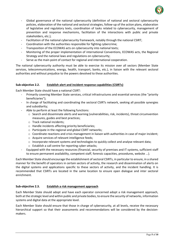

- Global governance of the national cybersecurity (definition of national and sectoral cybersecurity policies, elaboration of the national and sectoral strategies, follow-up of the action plans, elaboration of legislative and regulatory texts, coordination of tasks related to cybersecurity, management of prevention and response mechanisms, facilitation of the interactions with public and private stakeholders, etc.);
- Facilitation of the national cybersecurity framework, notably through the national CSIRT;
- Coordination with the authorities responsible for fighting cybercrime;
- Transposition of the ECOWAS acts on cybersecurity into national texts;
- Monitoring of the proper implementation of international Conventions, ECOWAS acts, the Regional Strategy and the national laws and regulations on cybersecurity;
- Serve as the main point of contact for regional and international cooperation.

The national cybersecurity authority must be able to exercise its mission over all sectors (Member State services, telecommunications, energy, health, transport, banks, etc.), in liaison with the relevant sectoral authorities and without prejudice to the powers devolved to these authorities.

# <span id="page-5-0"></span>**Sub-objective 2.2. Establish alert and incident response capabilities (CSIRTs)**

Each Member State should have a national CSIRT:

- Primarily covering Member State services, critical infrastructures and essential services (the "priority beneficiaries");
- In charge of facilitating and coordinating the sectoral CSIRTs network, seeking all possible synergies and subsidiarity;
- Able to perform at least the following functions:
	- $\circ$  Search and disseminate alerts and warning (vulnerabilities, risk, incidents), threat circumvention measures, guides and best practices;
	- o Track national incidents;
	- o Handle incidents affecting priority beneficiaries;
	- o Participate in the regional and global CSIRT networks;
	- o Coordinate reactions and crisis management in liaison with authorities in case of major incident;
	- o Acquire services of relevant intelligence feeds;
	- o Incorporate relevant systems and technologies to quickly collect and analyse relevant data;
	- o Establish a call centre for reporting cyber-attacks;
- Equipped with the necessary resources (financial, security of premises and IT systems, sufficient staff to ensure permanent availability, competent staff, forensic capacities, procedures, website ...).

Each Member State should encourage the establishment of sectoral CSIRTs, in particular to ensure, in a shared manner for the benefit of operators in certain sectors of activity, the research and dissemination of alerts on the digital systems and applications specific to these sectors of activity, and the incident handling. It is recommended that CSIRTs are located in the same location to ensure open dialogue and inter sectoral enrichment.

# <span id="page-5-1"></span>**Sub-objective 2.3. Establish a risk management approach**

Each Member State should adopt and have each operator concerned adopt a risk management approach, both at the strategic level and within public and private bodies, to ensure the security of networks, information systems and digital data at the appropriate level.

Each Member State should ensure that those in charge of cybersecurity, at all levels, receive the necessary hierarchical support so that their assessments and recommendations will be considered by the decisionmakers.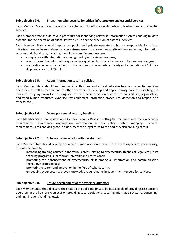

# <span id="page-6-0"></span>**Sub-objective 2.4. Strengthen cybersecurity for critical infrastructure and essential services**

Each Member State should prioritize its cybersecurity efforts on its critical infrastructure and essential services.

Each Member State should have a procedure for identifying networks, information systems and digital data essential for the operation of critical infrastructure and the provision of essential services.

Each Member State should impose on public and private operators who are responsible for critical infrastructures and essential services concrete measures to ensure the security of these networks, information systems and digital data, including the following minimum measures:

- compliance with internationally recognized cyber hygiene measures;
- a security audit of information systems by a qualified body, at a frequency not exceeding two years;
- notification of security incidents to the national cybersecurity authority or to the national CSIRT (via its possible sectoral CSIRT).

## <span id="page-6-1"></span>**Sub-objective 2.5. Adopt information security policies**

Each Member State should require public authorities and critical infrastructure and essential services operators, as well as recommend to other operators to develop and apply security policies describing the measures they lay down for ensuring security of their information systems (responsibilities, organisation, dedicated human resources, cybersecurity equipment, protection procedures, detection and response to attacks, etc.).

#### <span id="page-6-2"></span>**Sub-objective 2.6. Develop a general security baseline**

Each Member State should develop a General Security Baseline setting the minimum information security requirements (governance, organization, information security policy, system mapping, technical requirements, etc.) and designate in a document with legal force to the bodies which are subject to it.

## <span id="page-6-3"></span>**Sub-objective 2.7. Enhance cybersecurity skills development**

Each Member State should develop a qualified human workforce trained in different aspects of cybersecurity, this may be done by:

- introducing training courses in the various areas relating to cybersecurity (technical, legal, etc.) in its teaching programs, in particular university and professional;
- promoting the enhancement of cybersecurity skills among all information and communication technology professionals;
- promoting research and innovation in the field of cybersecurity;
- embedding cyber security proven knowledge requirements in government tenders for services.

## <span id="page-6-4"></span>**Sub-objective 2.8. Ensure development of the cybersecurity offer**

Each Member State should ensure the creation of public and private bodies capable of providing assistance to operators in the field of cybersecurity (providing secure solutions, securing information systems, consulting, auditing, incident handling, etc.).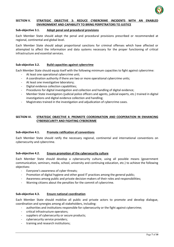

## <span id="page-7-0"></span>**SECTION V. STRATEGIC OBJECTIVE 3: REDUCE CYBERCRIME INCIDENTS WITH AN ENABLED ENVIRONMENT AND CAPABILITY TO BRING PERPETRATORS TO JUSTICE**

## <span id="page-7-1"></span>**Sub-objective 3.1. Adopt penal and procedural provisions**

Each Member State should adopt the penal and procedural provisions prescribed or recommended at regional, continental and global level.

Each Member State should adopt proportional sanctions for criminal offenses which have affected or attempted to affect the information and data systems necessary for the proper functioning of critical infrastructure and essential services.

# <span id="page-7-2"></span>**Sub-objective 3.2. Build capacities against cybercrime**

Each Member State should equip itself with the following minimum capacities to fight against cybercrime:

- At least one operational cybercrime unit;
- A coordination authority if there are two or more operational cybercrime units;
- At least one investigative laboratory;
- Digital evidence collection capabilities;
- Procedures for digital investigation and collection and handling of digital evidence;
- Member State investigators (judicial police officers and agents, judicial experts, etc.) trained in digital investigations and digital evidence collection and handling;
- Magistrates trained in the investigation and adjudication of cybercrime cases.

# <span id="page-7-3"></span>**SECTION VI. STRATEGIC OBJECTIVE 4: PROMOTE COORDINATION AND COOPERATION IN ENHANCING CYBERSECURITY AND FIGHTING CYBERCRIME**

## <span id="page-7-4"></span>**Sub-objective 4.1. Promote ratification of conventions**

Each Member State should ratify the necessary regional, continental and international conventions on cybersecurity and cybercrime.

## <span id="page-7-5"></span>**Sub-objective 4.2. Ensure promotion of the cybersecurity culture**

Each Member State should develop a cybersecurity culture, using all possible means (government communication, seminars, media, school, university and continuing education, etc.) to achieve the following objectives:

- Everyone's awareness of cyber threats;
- Promotion of digital hygiene and other good IT practices among the general public;
- Awareness among public and private decision-makers of their roles and responsibilities;
- Warning citizens about the penalties for the commit of cybercrime.

## <span id="page-7-6"></span>**Sub-objective 4.3. Ensure national coordination**

Each Member State should mobilize all public and private actors to promote and develop dialogue, coordination and synergies among all stakeholders, including:

- authorities and institutions responsible for cybersecurity or the fight against cybercrime;
- critical infrastructure operators;
- suppliers of cybersecurity or secure products;
- cybersecurity service providers;
- training and research institutions;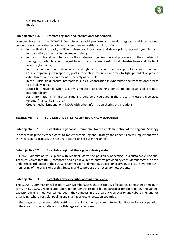

- civil society organisations;
- media.

#### <span id="page-8-0"></span>**Sub-objective 4.4. Promote regional and international cooperation**

Member States and the ECOWAS Commission should promote and develop regional and international cooperation among cybersecurity and cybercrime authorities and institutions:

- In the field of capacity building: share good practices and develop intraregional synergies and mutualisation, especially in the area of training;
- In the institutional field: harmonize the strategies, organisations and procedures of the countries of the region, particularly with regard to security of transnational critical infrastructures and the fight against cybercrime;
- In the operational area: share alerts and cybersecurity information especially between national CSIRTs, organize joint responses, pool intervention resources in order to fight potential or proven cyber threats and cybercrime as effectively as possible;
- In the judicial field: ensure international judicial cooperation in cybercrime and transnational access to digital evidence;
- Establish a regional cyber security simulation and training centre to cut costs and promote interoperability;
- Joint information sharing organisations should be encouraged in the critical and essential services (energy, finance, health, etc.);
- Create mechanisms and joint MOUs with other information sharing organizations.

#### <span id="page-8-1"></span>**SECTION VII. STRATEGIC OBJECTIVE 5: ESTABLISH REGIONAL MECHANISMS**

#### <span id="page-8-2"></span>**Sub-objective 5.1. Establish a regional assistance plan for the implementation of the Regional Strategy**

In order to help the Member States to implement this Regional Strategy, the Commission will implement, with the means at its disposal, the regional action plan set out in the annex.

## <span id="page-8-3"></span>**Sub-objective 5.2. Establish a regional Strategy monitoring system**

ECOWAS Commission will explore with Member States the possibility of setting up a sustainable Regional Technical Committee (RTC), composed of a high-level representative provided by each Member State, placed under the coordination of the ECOWAS Commission and meeting at least once a year, to ensure over time the monitoring of the provisions of this Strategy and to propose the necessary new actions.

## <span id="page-8-4"></span>**Sub-objective 5.3. Establish a cybersecurity Coordination Centre**

The ECOWAS Commission will explore with Member States the desirability of creating, in the short or medium term, an ECOWAS Cybersecurity Coordination Centre, responsible in particular for coordinating the various capacity-building initiatives carried out in the countries in the area of cybersecurity and cybercrime, and for organizing, where possible, pooling and sharing of results between countries.

In the longer term, it may consider setting up a regional agency to promote and facilitate regional cooperation in the area of cybersecurity and the fight against cybercrime.